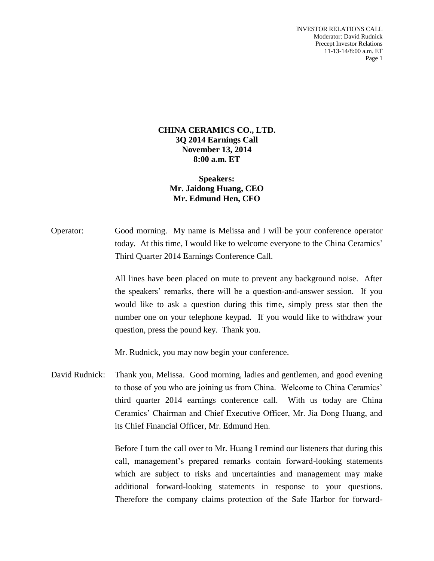INVESTOR RELATIONS CALL Moderator: David Rudnick Precept Investor Relations 11-13-14/8:00 a.m. ET Page 1

## **CHINA CERAMICS CO., LTD. 3Q 2014 Earnings Call November 13, 2014 8:00 a.m. ET**

## **Speakers: Mr. Jaidong Huang, CEO Mr. Edmund Hen, CFO**

Operator: Good morning. My name is Melissa and I will be your conference operator today. At this time, I would like to welcome everyone to the China Ceramics' Third Quarter 2014 Earnings Conference Call.

> All lines have been placed on mute to prevent any background noise. After the speakers' remarks, there will be a question-and-answer session. If you would like to ask a question during this time, simply press star then the number one on your telephone keypad. If you would like to withdraw your question, press the pound key. Thank you.

Mr. Rudnick, you may now begin your conference.

David Rudnick: Thank you, Melissa. Good morning, ladies and gentlemen, and good evening to those of you who are joining us from China. Welcome to China Ceramics' third quarter 2014 earnings conference call. With us today are China Ceramics' Chairman and Chief Executive Officer, Mr. Jia Dong Huang, and its Chief Financial Officer, Mr. Edmund Hen.

> Before I turn the call over to Mr. Huang I remind our listeners that during this call, management's prepared remarks contain forward-looking statements which are subject to risks and uncertainties and management may make additional forward-looking statements in response to your questions. Therefore the company claims protection of the Safe Harbor for forward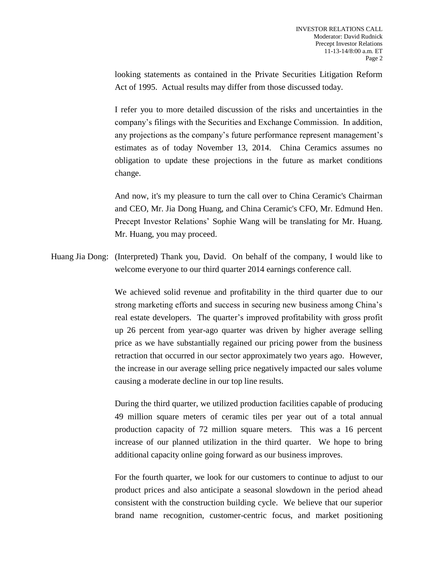looking statements as contained in the Private Securities Litigation Reform Act of 1995. Actual results may differ from those discussed today.

I refer you to more detailed discussion of the risks and uncertainties in the company's filings with the Securities and Exchange Commission. In addition, any projections as the company's future performance represent management's estimates as of today November 13, 2014. China Ceramics assumes no obligation to update these projections in the future as market conditions change.

And now, it's my pleasure to turn the call over to China Ceramic's Chairman and CEO, Mr. Jia Dong Huang, and China Ceramic's CFO, Mr. Edmund Hen. Precept Investor Relations' Sophie Wang will be translating for Mr. Huang. Mr. Huang, you may proceed.

Huang Jia Dong: (Interpreted) Thank you, David. On behalf of the company, I would like to welcome everyone to our third quarter 2014 earnings conference call.

> We achieved solid revenue and profitability in the third quarter due to our strong marketing efforts and success in securing new business among China's real estate developers. The quarter's improved profitability with gross profit up 26 percent from year-ago quarter was driven by higher average selling price as we have substantially regained our pricing power from the business retraction that occurred in our sector approximately two years ago. However, the increase in our average selling price negatively impacted our sales volume causing a moderate decline in our top line results.

> During the third quarter, we utilized production facilities capable of producing 49 million square meters of ceramic tiles per year out of a total annual production capacity of 72 million square meters. This was a 16 percent increase of our planned utilization in the third quarter. We hope to bring additional capacity online going forward as our business improves.

> For the fourth quarter, we look for our customers to continue to adjust to our product prices and also anticipate a seasonal slowdown in the period ahead consistent with the construction building cycle. We believe that our superior brand name recognition, customer-centric focus, and market positioning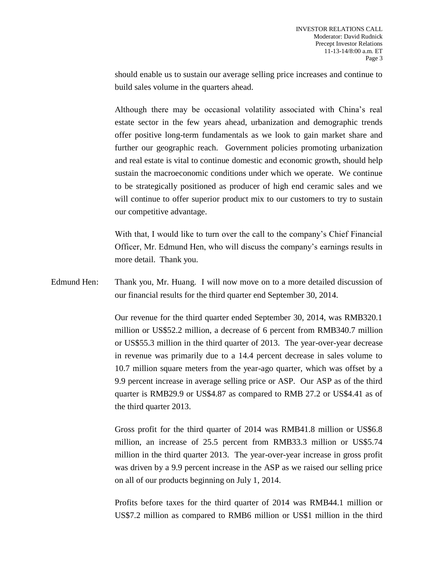should enable us to sustain our average selling price increases and continue to build sales volume in the quarters ahead.

Although there may be occasional volatility associated with China's real estate sector in the few years ahead, urbanization and demographic trends offer positive long-term fundamentals as we look to gain market share and further our geographic reach. Government policies promoting urbanization and real estate is vital to continue domestic and economic growth, should help sustain the macroeconomic conditions under which we operate. We continue to be strategically positioned as producer of high end ceramic sales and we will continue to offer superior product mix to our customers to try to sustain our competitive advantage.

With that, I would like to turn over the call to the company's Chief Financial Officer, Mr. Edmund Hen, who will discuss the company's earnings results in more detail. Thank you.

Edmund Hen: Thank you, Mr. Huang. I will now move on to a more detailed discussion of our financial results for the third quarter end September 30, 2014.

> Our revenue for the third quarter ended September 30, 2014, was RMB320.1 million or US\$52.2 million, a decrease of 6 percent from RMB340.7 million or US\$55.3 million in the third quarter of 2013. The year-over-year decrease in revenue was primarily due to a 14.4 percent decrease in sales volume to 10.7 million square meters from the year-ago quarter, which was offset by a 9.9 percent increase in average selling price or ASP. Our ASP as of the third quarter is RMB29.9 or US\$4.87 as compared to RMB 27.2 or US\$4.41 as of the third quarter 2013.

> Gross profit for the third quarter of 2014 was RMB41.8 million or US\$6.8 million, an increase of 25.5 percent from RMB33.3 million or US\$5.74 million in the third quarter 2013. The year-over-year increase in gross profit was driven by a 9.9 percent increase in the ASP as we raised our selling price on all of our products beginning on July 1, 2014.

> Profits before taxes for the third quarter of 2014 was RMB44.1 million or US\$7.2 million as compared to RMB6 million or US\$1 million in the third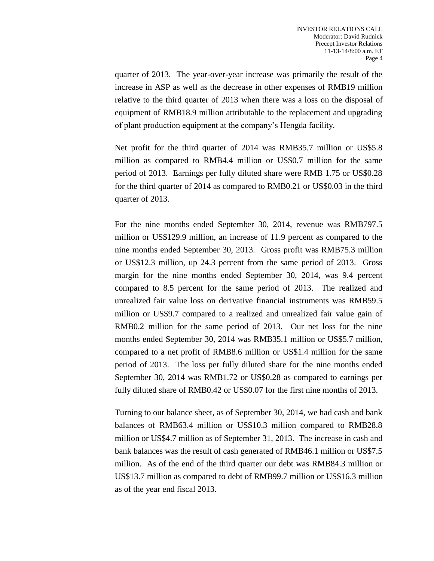quarter of 2013. The year-over-year increase was primarily the result of the increase in ASP as well as the decrease in other expenses of RMB19 million relative to the third quarter of 2013 when there was a loss on the disposal of equipment of RMB18.9 million attributable to the replacement and upgrading of plant production equipment at the company's Hengda facility.

Net profit for the third quarter of 2014 was RMB35.7 million or US\$5.8 million as compared to RMB4.4 million or US\$0.7 million for the same period of 2013. Earnings per fully diluted share were RMB 1.75 or US\$0.28 for the third quarter of 2014 as compared to RMB0.21 or US\$0.03 in the third quarter of 2013.

For the nine months ended September 30, 2014, revenue was RMB797.5 million or US\$129.9 million, an increase of 11.9 percent as compared to the nine months ended September 30, 2013. Gross profit was RMB75.3 million or US\$12.3 million, up 24.3 percent from the same period of 2013. Gross margin for the nine months ended September 30, 2014, was 9.4 percent compared to 8.5 percent for the same period of 2013. The realized and unrealized fair value loss on derivative financial instruments was RMB59.5 million or US\$9.7 compared to a realized and unrealized fair value gain of RMB0.2 million for the same period of 2013. Our net loss for the nine months ended September 30, 2014 was RMB35.1 million or US\$5.7 million, compared to a net profit of RMB8.6 million or US\$1.4 million for the same period of 2013. The loss per fully diluted share for the nine months ended September 30, 2014 was RMB1.72 or US\$0.28 as compared to earnings per fully diluted share of RMB0.42 or US\$0.07 for the first nine months of 2013.

Turning to our balance sheet, as of September 30, 2014, we had cash and bank balances of RMB63.4 million or US\$10.3 million compared to RMB28.8 million or US\$4.7 million as of September 31, 2013. The increase in cash and bank balances was the result of cash generated of RMB46.1 million or US\$7.5 million. As of the end of the third quarter our debt was RMB84.3 million or US\$13.7 million as compared to debt of RMB99.7 million or US\$16.3 million as of the year end fiscal 2013.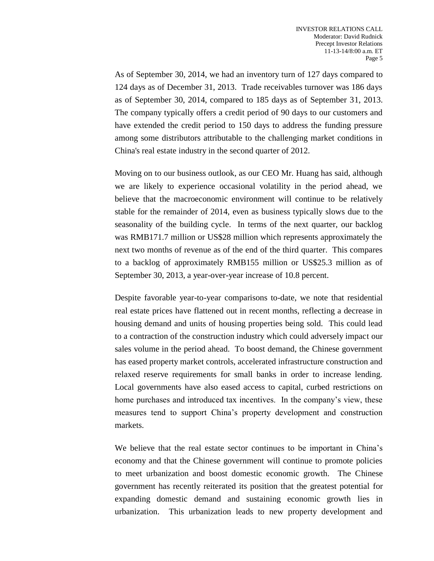As of September 30, 2014, we had an inventory turn of 127 days compared to 124 days as of December 31, 2013. Trade receivables turnover was 186 days as of September 30, 2014, compared to 185 days as of September 31, 2013. The company typically offers a credit period of 90 days to our customers and have extended the credit period to 150 days to address the funding pressure among some distributors attributable to the challenging market conditions in China's real estate industry in the second quarter of 2012.

Moving on to our business outlook, as our CEO Mr. Huang has said, although we are likely to experience occasional volatility in the period ahead, we believe that the macroeconomic environment will continue to be relatively stable for the remainder of 2014, even as business typically slows due to the seasonality of the building cycle. In terms of the next quarter, our backlog was RMB171.7 million or US\$28 million which represents approximately the next two months of revenue as of the end of the third quarter. This compares to a backlog of approximately RMB155 million or US\$25.3 million as of September 30, 2013, a year-over-year increase of 10.8 percent.

Despite favorable year-to-year comparisons to-date, we note that residential real estate prices have flattened out in recent months, reflecting a decrease in housing demand and units of housing properties being sold. This could lead to a contraction of the construction industry which could adversely impact our sales volume in the period ahead. To boost demand, the Chinese government has eased property market controls, accelerated infrastructure construction and relaxed reserve requirements for small banks in order to increase lending. Local governments have also eased access to capital, curbed restrictions on home purchases and introduced tax incentives. In the company's view, these measures tend to support China's property development and construction markets.

We believe that the real estate sector continues to be important in China's economy and that the Chinese government will continue to promote policies to meet urbanization and boost domestic economic growth. The Chinese government has recently reiterated its position that the greatest potential for expanding domestic demand and sustaining economic growth lies in urbanization. This urbanization leads to new property development and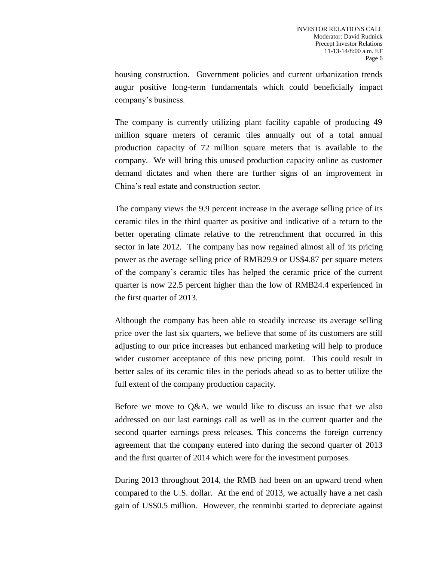housing construction. Government policies and current urbanization trends augur positive long-term fundamentals which could beneficially impact company's business.

The company is currently utilizing plant facility capable of producing 49 million square meters of ceramic tiles annually out of a total annual production capacity of 72 million square meters that is available to the company. We will bring this unused production capacity online as customer demand dictates and when there are further signs of an improvement in China's real estate and construction sector.

The company views the 9.9 percent increase in the average selling price of its ceramic tiles in the third quarter as positive and indicative of a return to the better operating climate relative to the retrenchment that occurred in this sector in late 2012. The company has now regained almost all of its pricing power as the average selling price of RMB29.9 or US\$4.87 per square meters of the company's ceramic tiles has helped the ceramic price of the current quarter is now 22.5 percent higher than the low of RMB24.4 experienced in the first quarter of 2013.

Although the company has been able to steadily increase its average selling price over the last six quarters, we believe that some of its customers are still adjusting to our price increases but enhanced marketing will help to produce wider customer acceptance of this new pricing point. This could result in better sales of its ceramic tiles in the periods ahead so as to better utilize the full extent of the company production capacity.

Before we move to Q&A, we would like to discuss an issue that we also addressed on our last earnings call as well as in the current quarter and the second quarter earnings press releases. This concerns the foreign currency agreement that the company entered into during the second quarter of 2013 and the first quarter of 2014 which were for the investment purposes.

During 2013 throughout 2014, the RMB had been on an upward trend when compared to the U.S. dollar. At the end of 2013, we actually have a net cash gain of US\$0.5 million. However, the renminbi started to depreciate against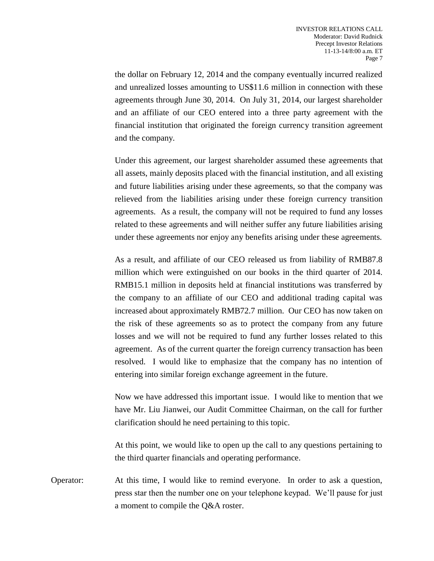the dollar on February 12, 2014 and the company eventually incurred realized and unrealized losses amounting to US\$11.6 million in connection with these agreements through June 30, 2014. On July 31, 2014, our largest shareholder and an affiliate of our CEO entered into a three party agreement with the financial institution that originated the foreign currency transition agreement and the company.

Under this agreement, our largest shareholder assumed these agreements that all assets, mainly deposits placed with the financial institution, and all existing and future liabilities arising under these agreements, so that the company was relieved from the liabilities arising under these foreign currency transition agreements. As a result, the company will not be required to fund any losses related to these agreements and will neither suffer any future liabilities arising under these agreements nor enjoy any benefits arising under these agreements.

As a result, and affiliate of our CEO released us from liability of RMB87.8 million which were extinguished on our books in the third quarter of 2014. RMB15.1 million in deposits held at financial institutions was transferred by the company to an affiliate of our CEO and additional trading capital was increased about approximately RMB72.7 million. Our CEO has now taken on the risk of these agreements so as to protect the company from any future losses and we will not be required to fund any further losses related to this agreement. As of the current quarter the foreign currency transaction has been resolved. I would like to emphasize that the company has no intention of entering into similar foreign exchange agreement in the future.

Now we have addressed this important issue. I would like to mention that we have Mr. Liu Jianwei, our Audit Committee Chairman, on the call for further clarification should he need pertaining to this topic.

At this point, we would like to open up the call to any questions pertaining to the third quarter financials and operating performance.

Operator: At this time, I would like to remind everyone. In order to ask a question, press star then the number one on your telephone keypad. We'll pause for just a moment to compile the Q&A roster.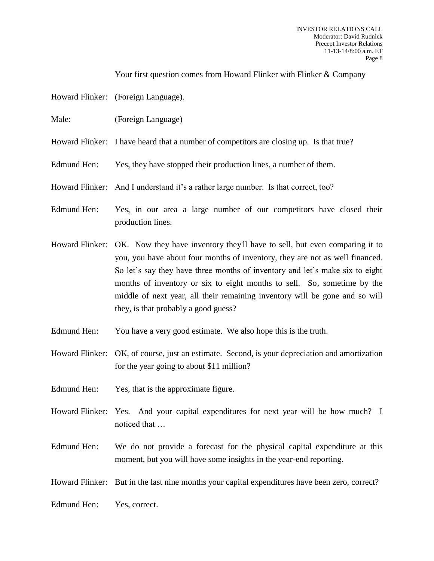Your first question comes from Howard Flinker with Flinker & Company

- Howard Flinker: (Foreign Language).
- Male: (Foreign Language)
- Howard Flinker: I have heard that a number of competitors are closing up. Is that true?
- Edmund Hen: Yes, they have stopped their production lines, a number of them.
- Howard Flinker: And I understand it's a rather large number. Is that correct, too?
- Edmund Hen: Yes, in our area a large number of our competitors have closed their production lines.
- Howard Flinker: OK. Now they have inventory they'll have to sell, but even comparing it to you, you have about four months of inventory, they are not as well financed. So let's say they have three months of inventory and let's make six to eight months of inventory or six to eight months to sell. So, sometime by the middle of next year, all their remaining inventory will be gone and so will they, is that probably a good guess?
- Edmund Hen: You have a very good estimate. We also hope this is the truth.
- Howard Flinker: OK, of course, just an estimate. Second, is your depreciation and amortization for the year going to about \$11 million?
- Edmund Hen: Yes, that is the approximate figure.
- Howard Flinker: Yes. And your capital expenditures for next year will be how much? I noticed that …
- Edmund Hen: We do not provide a forecast for the physical capital expenditure at this moment, but you will have some insights in the year-end reporting.
- Howard Flinker: But in the last nine months your capital expenditures have been zero, correct?

Edmund Hen: Yes, correct.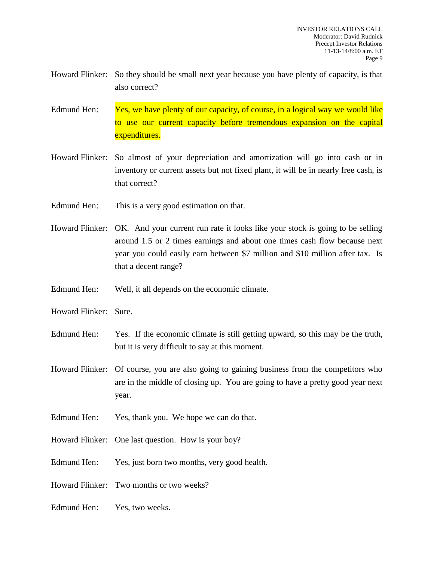- Howard Flinker: So they should be small next year because you have plenty of capacity, is that also correct?
- Edmund Hen: Yes, we have plenty of our capacity, of course, in a logical way we would like to use our current capacity before tremendous expansion on the capital expenditures.
- Howard Flinker: So almost of your depreciation and amortization will go into cash or in inventory or current assets but not fixed plant, it will be in nearly free cash, is that correct?
- Edmund Hen: This is a very good estimation on that.
- Howard Flinker: OK. And your current run rate it looks like your stock is going to be selling around 1.5 or 2 times earnings and about one times cash flow because next year you could easily earn between \$7 million and \$10 million after tax. Is that a decent range?
- Edmund Hen: Well, it all depends on the economic climate.
- Howard Flinker: Sure.
- Edmund Hen: Yes. If the economic climate is still getting upward, so this may be the truth, but it is very difficult to say at this moment.
- Howard Flinker: Of course, you are also going to gaining business from the competitors who are in the middle of closing up. You are going to have a pretty good year next year.
- Edmund Hen: Yes, thank you. We hope we can do that.
- Howard Flinker: One last question. How is your boy?
- Edmund Hen: Yes, just born two months, very good health.
- Howard Flinker: Two months or two weeks?
- Edmund Hen: Yes, two weeks.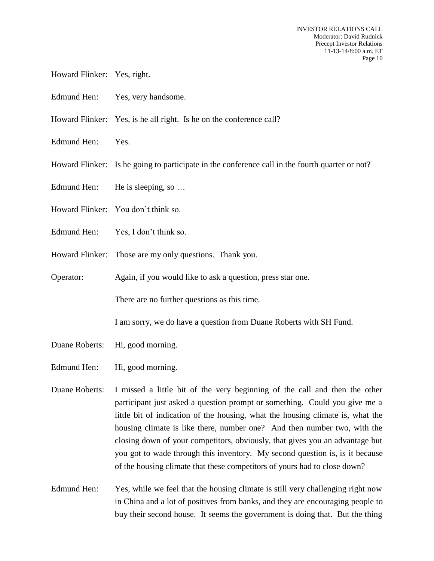- Howard Flinker: Yes, right.
- Edmund Hen: Yes, very handsome.
- Howard Flinker: Yes, is he all right. Is he on the conference call?
- Edmund Hen: Yes.
- Howard Flinker: Is he going to participate in the conference call in the fourth quarter or not?
- Edmund Hen: He is sleeping, so ...
- Howard Flinker: You don't think so.
- Edmund Hen: Yes, I don't think so.
- Howard Flinker: Those are my only questions. Thank you.
- Operator: Again, if you would like to ask a question, press star one.

There are no further questions as this time.

I am sorry, we do have a question from Duane Roberts with SH Fund.

- Duane Roberts: Hi, good morning.
- Edmund Hen: Hi, good morning.
- Duane Roberts: I missed a little bit of the very beginning of the call and then the other participant just asked a question prompt or something. Could you give me a little bit of indication of the housing, what the housing climate is, what the housing climate is like there, number one? And then number two, with the closing down of your competitors, obviously, that gives you an advantage but you got to wade through this inventory. My second question is, is it because of the housing climate that these competitors of yours had to close down?
- Edmund Hen: Yes, while we feel that the housing climate is still very challenging right now in China and a lot of positives from banks, and they are encouraging people to buy their second house. It seems the government is doing that. But the thing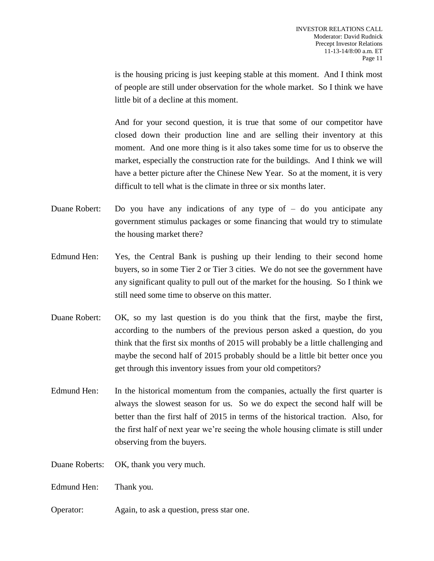is the housing pricing is just keeping stable at this moment. And I think most of people are still under observation for the whole market. So I think we have little bit of a decline at this moment.

And for your second question, it is true that some of our competitor have closed down their production line and are selling their inventory at this moment. And one more thing is it also takes some time for us to observe the market, especially the construction rate for the buildings. And I think we will have a better picture after the Chinese New Year. So at the moment, it is very difficult to tell what is the climate in three or six months later.

- Duane Robert: Do you have any indications of any type of do you anticipate any government stimulus packages or some financing that would try to stimulate the housing market there?
- Edmund Hen: Yes, the Central Bank is pushing up their lending to their second home buyers, so in some Tier 2 or Tier 3 cities. We do not see the government have any significant quality to pull out of the market for the housing. So I think we still need some time to observe on this matter.
- Duane Robert: OK, so my last question is do you think that the first, maybe the first, according to the numbers of the previous person asked a question, do you think that the first six months of 2015 will probably be a little challenging and maybe the second half of 2015 probably should be a little bit better once you get through this inventory issues from your old competitors?
- Edmund Hen: In the historical momentum from the companies, actually the first quarter is always the slowest season for us. So we do expect the second half will be better than the first half of 2015 in terms of the historical traction. Also, for the first half of next year we're seeing the whole housing climate is still under observing from the buyers.
- Duane Roberts: OK, thank you very much.
- Edmund Hen: Thank you.
- Operator: Again, to ask a question, press star one.